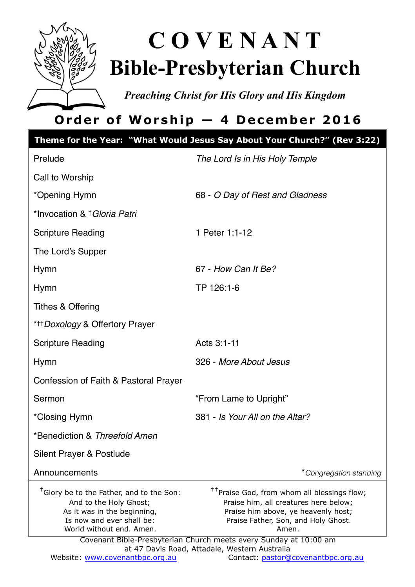

# **C O V E N A N T Bible-Presbyterian Church**

*Preaching Christ for His Glory and His Kingdom* 

## **Order of Worship — 4 December 2016**

|                                                                                                                                                                        | Theme for the Year: "What Would Jesus Say About Your Church?" (Rev 3:22)                                                                                                                                                                                                                                      |
|------------------------------------------------------------------------------------------------------------------------------------------------------------------------|---------------------------------------------------------------------------------------------------------------------------------------------------------------------------------------------------------------------------------------------------------------------------------------------------------------|
| Prelude                                                                                                                                                                | The Lord Is in His Holy Temple                                                                                                                                                                                                                                                                                |
| Call to Worship                                                                                                                                                        |                                                                                                                                                                                                                                                                                                               |
| *Opening Hymn                                                                                                                                                          | 68 - O Day of Rest and Gladness                                                                                                                                                                                                                                                                               |
| *Invocation & † Gloria Patri                                                                                                                                           |                                                                                                                                                                                                                                                                                                               |
| <b>Scripture Reading</b>                                                                                                                                               | 1 Peter 1:1-12                                                                                                                                                                                                                                                                                                |
| The Lord's Supper                                                                                                                                                      |                                                                                                                                                                                                                                                                                                               |
| Hymn                                                                                                                                                                   | 67 - How Can It Be?                                                                                                                                                                                                                                                                                           |
| Hymn                                                                                                                                                                   | TP 126:1-6                                                                                                                                                                                                                                                                                                    |
| Tithes & Offering                                                                                                                                                      |                                                                                                                                                                                                                                                                                                               |
| * <sup>††</sup> Doxology & Offertory Prayer                                                                                                                            |                                                                                                                                                                                                                                                                                                               |
| <b>Scripture Reading</b>                                                                                                                                               | Acts 3:1-11                                                                                                                                                                                                                                                                                                   |
| Hymn                                                                                                                                                                   | 326 - More About Jesus                                                                                                                                                                                                                                                                                        |
| Confession of Faith & Pastoral Prayer                                                                                                                                  |                                                                                                                                                                                                                                                                                                               |
| Sermon                                                                                                                                                                 | "From Lame to Upright"                                                                                                                                                                                                                                                                                        |
| *Closing Hymn                                                                                                                                                          | 381 - Is Your All on the Altar?                                                                                                                                                                                                                                                                               |
| *Benediction & Threefold Amen                                                                                                                                          |                                                                                                                                                                                                                                                                                                               |
| Silent Prayer & Postlude                                                                                                                                               |                                                                                                                                                                                                                                                                                                               |
| Announcements                                                                                                                                                          | *Congregation standing                                                                                                                                                                                                                                                                                        |
| <sup>†</sup> Glory be to the Father, and to the Son:<br>And to the Holy Ghost;<br>As it was in the beginning,<br>Is now and ever shall be:<br>World without end. Amen. | <sup>††</sup> Praise God, from whom all blessings flow;<br>Praise him, all creatures here below;<br>Praise him above, ye heavenly host;<br>Praise Father, Son, and Holy Ghost.<br>Amen.<br>Covenant Bible-Presbyterian Church meets every Sunday at 10:00 am<br>at 47 Davis Road, Attadale, Western Australia |
| Website: www.covenantbpc.org.au                                                                                                                                        | Contact: pastor@covenantbpc.org.au                                                                                                                                                                                                                                                                            |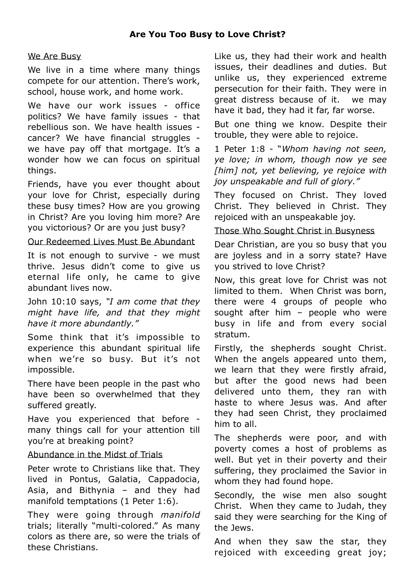#### We Are Busy

We live in a time where many things compete for our attention. There's work, school, house work, and home work.

We have our work issues - office politics? We have family issues - that rebellious son. We have health issues cancer? We have financial struggles we have pay off that mortgage. It's a wonder how we can focus on spiritual things.

Friends, have you ever thought about your love for Christ, especially during these busy times? How are you growing in Christ? Are you loving him more? Are you victorious? Or are you just busy?

### Our Redeemed Lives Must Be Abundant

It is not enough to survive - we must thrive. Jesus didn't come to give us eternal life only, he came to give abundant lives now.

John 10:10 says, *"I am come that they might have life, and that they might have it more abundantly."*

Some think that it's impossible to experience this abundant spiritual life when we're so busy. But it's not impossible.

There have been people in the past who have been so overwhelmed that they suffered greatly.

Have you experienced that before many things call for your attention till you're at breaking point?

## Abundance in the Midst of Trials

Peter wrote to Christians like that. They lived in Pontus, Galatia, Cappadocia, Asia, and Bithynia – and they had manifold temptations (1 Peter 1:6).

They were going through *manifold* trials; literally "multi-colored." As many colors as there are, so were the trials of these Christians.

Like us, they had their work and health issues, their deadlines and duties. But unlike us, they experienced extreme persecution for their faith. They were in great distress because of it. we may have it bad, they had it far, far worse.

But one thing we know. Despite their trouble, they were able to rejoice.

1 Peter 1:8 - "*Whom having not seen, ye love; in whom, though now ye see [him] not, yet believing, ye rejoice with joy unspeakable and full of glory."*

They focused on Christ. They loved Christ. They believed in Christ. They rejoiced with an unspeakable joy.

Those Who Sought Christ in Busyness

Dear Christian, are you so busy that you are joyless and in a sorry state? Have you strived to love Christ?

Now, this great love for Christ was not limited to them. When Christ was born, there were 4 groups of people who sought after him – people who were busy in life and from every social stratum.

Firstly, the shepherds sought Christ. When the angels appeared unto them, we learn that they were firstly afraid, but after the good news had been delivered unto them, they ran with haste to where Jesus was. And after they had seen Christ, they proclaimed him to all.

The shepherds were poor, and with poverty comes a host of problems as well. But yet in their poverty and their suffering, they proclaimed the Savior in whom they had found hope.

Secondly, the wise men also sought Christ. When they came to Judah, they said they were searching for the King of the Jews.

And when they saw the star, they rejoiced with exceeding great joy;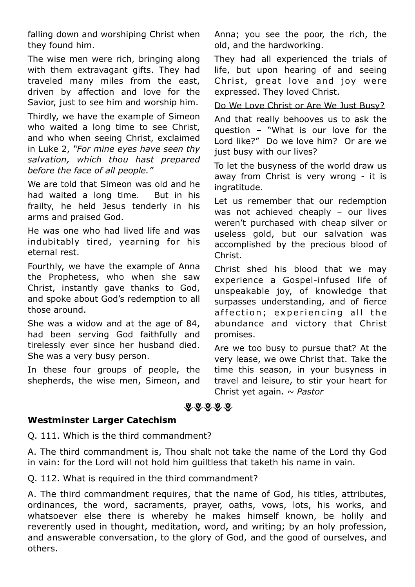falling down and worshiping Christ when they found him.

The wise men were rich, bringing along with them extravagant gifts. They had traveled many miles from the east, driven by affection and love for the Savior, just to see him and worship him.

Thirdly, we have the example of Simeon who waited a long time to see Christ, and who when seeing Christ, exclaimed in Luke 2, *"For mine eyes have seen thy salvation, which thou hast prepared before the face of all people."*

We are told that Simeon was old and he had waited a long time. But in his frailty, he held Jesus tenderly in his arms and praised God.

He was one who had lived life and was indubitably tired, yearning for his eternal rest.

Fourthly, we have the example of Anna the Prophetess, who when she saw Christ, instantly gave thanks to God, and spoke about God's redemption to all those around.

She was a widow and at the age of 84, had been serving God faithfully and tirelessly ever since her husband died. She was a very busy person.

In these four groups of people, the shepherds, the wise men, Simeon, and Anna; you see the poor, the rich, the old, and the hardworking.

They had all experienced the trials of life, but upon hearing of and seeing Christ, great love and joy were expressed. They loved Christ.

Do We Love Christ or Are We Just Busy?

And that really behooves us to ask the question – "What is our love for the Lord like?" Do we love him? Or are we just busy with our lives?

To let the busyness of the world draw us away from Christ is very wrong - it is ingratitude.

Let us remember that our redemption was not achieved cheaply – our lives weren't purchased with cheap silver or useless gold, but our salvation was accomplished by the precious blood of Christ.

Christ shed his blood that we may experience a Gospel-infused life of unspeakable joy, of knowledge that surpasses understanding, and of fierce affection; experiencing all the abundance and victory that Christ promises.

Are we too busy to pursue that? At the very lease, we owe Christ that. Take the time this season, in your busyness in travel and leisure, to stir your heart for Christ yet again. *~ Pastor*

\*\*\*\*\*

## **Westminster Larger Catechism**

Q. 111. Which is the third commandment?

A. The third commandment is, Thou shalt not take the name of the Lord thy God in vain: for the Lord will not hold him guiltless that taketh his name in vain.

Q. 112. What is required in the third commandment?

A. The third commandment requires, that the name of God, his titles, attributes, ordinances, the word, sacraments, prayer, oaths, vows, lots, his works, and whatsoever else there is whereby he makes himself known, be holily and reverently used in thought, meditation, word, and writing; by an holy profession, and answerable conversation, to the glory of God, and the good of ourselves, and others.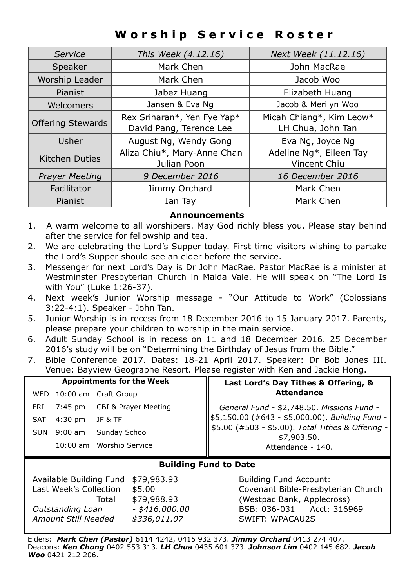## **Worship Service Roster**

| Service                  | This Week (4.12.16)                                    | Next Week (11.12.16)                          |
|--------------------------|--------------------------------------------------------|-----------------------------------------------|
| Speaker                  | Mark Chen                                              | John MacRae                                   |
| Worship Leader           | Mark Chen                                              | Jacob Woo                                     |
| Pianist                  | Jabez Huang                                            | Elizabeth Huang                               |
| Welcomers                | Jansen & Eva Ng                                        | Jacob & Merilyn Woo                           |
| <b>Offering Stewards</b> | Rex Sriharan*, Yen Fye Yap*<br>David Pang, Terence Lee | Micah Chiang*, Kim Leow*<br>LH Chua, John Tan |
| Usher                    | August Ng, Wendy Gong                                  | Eva Ng, Joyce Ng                              |
| Kitchen Duties           | Aliza Chiu*, Mary-Anne Chan<br>Julian Poon             | Adeline Ng*, Eileen Tay<br>Vincent Chiu       |
| <b>Prayer Meeting</b>    | 9 December 2016                                        | 16 December 2016                              |
| Facilitator              | Jimmy Orchard                                          | Mark Chen                                     |
| Pianist                  | Ian Tay                                                | Mark Chen                                     |

#### **Announcements**

- 1. A warm welcome to all worshipers. May God richly bless you. Please stay behind after the service for fellowship and tea.
- 2. We are celebrating the Lord's Supper today. First time visitors wishing to partake the Lord's Supper should see an elder before the service.
- 3. Messenger for next Lord's Day is Dr John MacRae. Pastor MacRae is a minister at Westminster Presbyterian Church in Maida Vale. He will speak on "The Lord Is with You" (Luke 1:26-37).
- 4. Next week's Junior Worship message "Our Attitude to Work" (Colossians 3:22-4:1). Speaker - John Tan.
- 5. Junior Worship is in recess from 18 December 2016 to 15 January 2017. Parents, please prepare your children to worship in the main service.
- 6. Adult Sunday School is in recess on 11 and 18 December 2016. 25 December 2016's study will be on "Determining the Birthday of Jesus from the Bible."
- 7. Bible Conference 2017. Dates: 18-21 April 2017. Speaker: Dr Bob Jones III. Venue: Bayview Geographe Resort. Please register with Ken and Jackie Hong.

| <b>Appointments for the Week</b> |         |                              | Last Lord's Day Tithes & Offering, &                                                                                                                              |  |
|----------------------------------|---------|------------------------------|-------------------------------------------------------------------------------------------------------------------------------------------------------------------|--|
|                                  |         | WED 10:00 am Craft Group     | <b>Attendance</b>                                                                                                                                                 |  |
| FRI                              |         | 7:45 pm CBI & Prayer Meeting |                                                                                                                                                                   |  |
| SAT                              | 4:30 pm | JF & TF                      | General Fund - \$2,748.50. Missions Fund -<br>\$5,150.00 (#643 - \$5,000.00). Building Fund -<br>\$5.00 (#503 - \$5.00). Total Tithes & Offering -<br>\$7,903.50. |  |
| <b>SUN</b>                       | 9:00 am | Sunday School                |                                                                                                                                                                   |  |
|                                  |         | 10:00 am Worship Service     | Attendance - 140.                                                                                                                                                 |  |

#### **Building Fund to Date**

| Available Building Fund | \$79,983.93      |
|-------------------------|------------------|
| Last Week's Collection  | \$5.00           |
| Total                   | \$79,988.93      |
| Outstanding Loan        | $-$ \$416,000,00 |
| Amount Still Needed     | \$336,011.07     |
|                         |                  |

Building Fund Account: Covenant Bible-Presbyterian Church *(Westpac Bank, Applecross) Outstanding Loan - \$416,000.00* BSB: 036-031 Acct: 316969 *Amount Still Needed \$336,011.07* SWIFT: WPACAU2S

Elders: *Mark Chen (Pastor)* 6114 4242, 0415 932 373. *Jimmy Orchard* 0413 274 407. Deacons: *Ken Chong* 0402 553 313. *LH Chua* 0435 601 373. *Johnson Lim* 0402 145 682. *Jacob Woo* 0421 212 206.